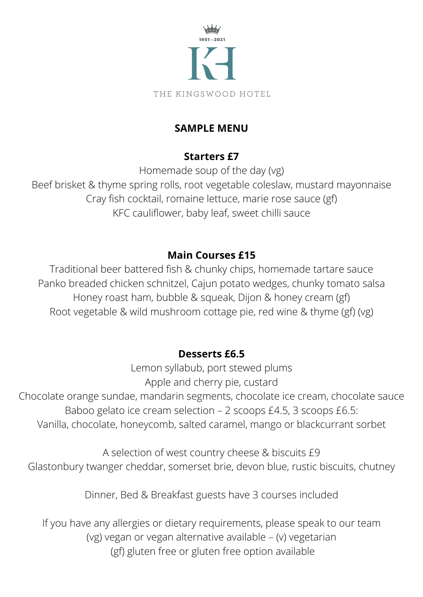

#### THE KINGSWOOD HOTEL

# **SAMPLE MENU**

# **Starters £7**

Homemade soup of the day (vg) Beef brisket & thyme spring rolls, root vegetable coleslaw, mustard mayonnaise Cray fish cocktail, romaine lettuce, marie rose sauce (gf) KFC cauliflower, baby leaf, sweet chilli sauce

# **Main Courses £15**

Traditional beer battered fish & chunky chips, homemade tartare sauce Panko breaded chicken schnitzel, Cajun potato wedges, chunky tomato salsa Honey roast ham, bubble & squeak, Dijon & honey cream (gf) Root vegetable & wild mushroom cottage pie, red wine & thyme (gf) (vg)

#### **Desserts £6.5**

Lemon syllabub, port stewed plums Apple and cherry pie, custard

Chocolate orange sundae, mandarin segments, chocolate ice cream, chocolate sauce Baboo gelato ice cream selection – 2 scoops £4.5, 3 scoops £6.5: Vanilla, chocolate, honeycomb, salted caramel, mango or blackcurrant sorbet

A selection of west country cheese & biscuits £9 Glastonbury twanger cheddar, somerset brie, devon blue, rustic biscuits, chutney

Dinner, Bed & Breakfast guests have 3 courses included

If you have any allergies or dietary requirements, please speak to our team (vg) vegan or vegan alternative available – (v) vegetarian (gf) gluten free or gluten free option available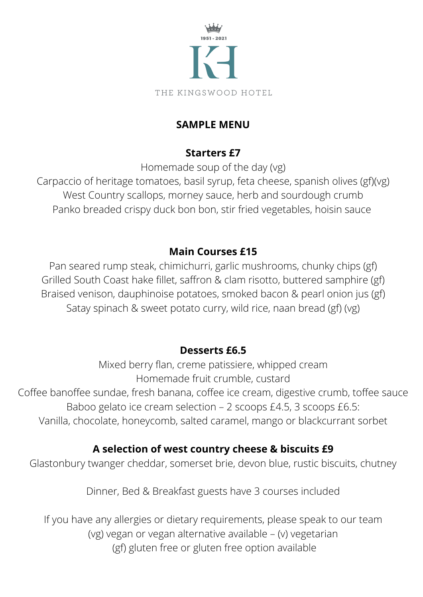

THE KINGSWOOD HOTEL

## **SAMPLE MENU**

## **Starters £7**

Homemade soup of the day (vg)

Carpaccio of heritage tomatoes, basil syrup, feta cheese, spanish olives (gf)(vg) West Country scallops, morney sauce, herb and sourdough crumb Panko breaded crispy duck bon bon, stir fried vegetables, hoisin sauce

# **Main Courses £15**

Pan seared rump steak, chimichurri, garlic mushrooms, chunky chips (gf) Grilled South Coast hake fillet, saffron & clam risotto, buttered samphire (gf) Braised venison, dauphinoise potatoes, smoked bacon & pearl onion jus (gf) Satay spinach & sweet potato curry, wild rice, naan bread (gf) (vg)

## **Desserts £6.5**

Mixed berry flan, creme patissiere, whipped cream Homemade fruit crumble, custard Coffee banoffee sundae, fresh banana, coffee ice cream, digestive crumb, toffee sauce Baboo gelato ice cream selection – 2 scoops £4.5, 3 scoops £6.5: Vanilla, chocolate, honeycomb, salted caramel, mango or blackcurrant sorbet

## **A selection of west country cheese & biscuits £9**

Glastonbury twanger cheddar, somerset brie, devon blue, rustic biscuits, chutney

Dinner, Bed & Breakfast guests have 3 courses included

If you have any allergies or dietary requirements, please speak to our team (vg) vegan or vegan alternative available – (v) vegetarian (gf) gluten free or gluten free option available